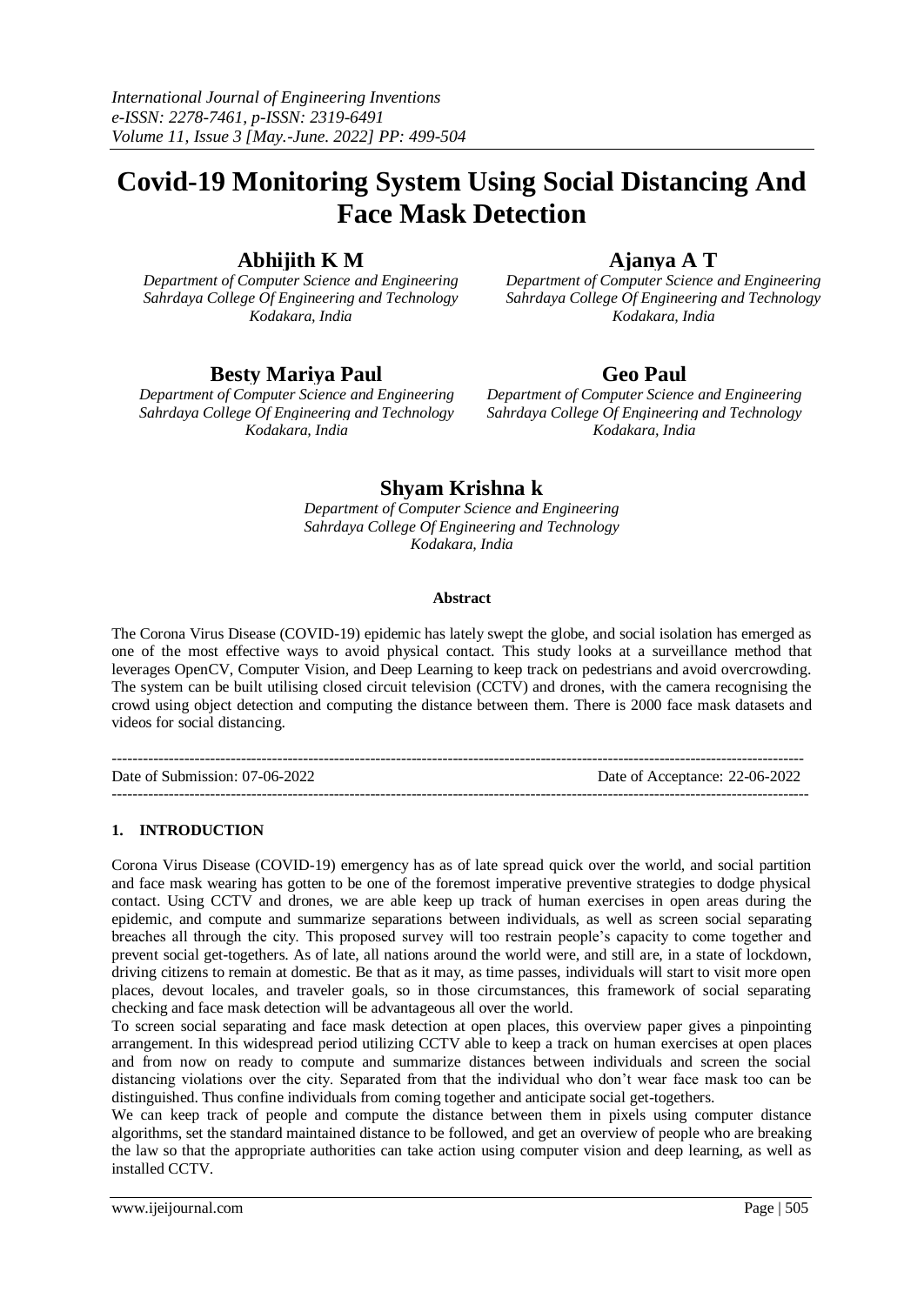# **Covid-19 Monitoring System Using Social Distancing And Face Mask Detection**

### **Abhijith K M**

*Department of Computer Science and Engineering Sahrdaya College Of Engineering and Technology Kodakara, India*

# **Ajanya A T**

*Department of Computer Science and Engineering Sahrdaya College Of Engineering and Technology Kodakara, India*

## **Besty Mariya Paul**

*Department of Computer Science and Engineering Sahrdaya College Of Engineering and Technology Kodakara, India*

# **Geo Paul**

*Department of Computer Science and Engineering Sahrdaya College Of Engineering and Technology Kodakara, India*

# **Shyam Krishna k**

*Department of Computer Science and Engineering Sahrdaya College Of Engineering and Technology Kodakara, India*

### **Abstract**

The Corona Virus Disease (COVID-19) epidemic has lately swept the globe, and social isolation has emerged as one of the most effective ways to avoid physical contact. This study looks at a surveillance method that leverages OpenCV, Computer Vision, and Deep Learning to keep track on pedestrians and avoid overcrowding. The system can be built utilising closed circuit television (CCTV) and drones, with the camera recognising the crowd using object detection and computing the distance between them. There is 2000 face mask datasets and videos for social distancing.

-------------------------------------------------------------------------------------------------------------------------------------- Date of Submission: 07-06-2022 Date of Acceptance: 22-06-2022 ---------------------------------------------------------------------------------------------------------------------------------------

### **1. INTRODUCTION**

Corona Virus Disease (COVID-19) emergency has as of late spread quick over the world, and social partition and face mask wearing has gotten to be one of the foremost imperative preventive strategies to dodge physical contact. Using CCTV and drones, we are able keep up track of human exercises in open areas during the epidemic, and compute and summarize separations between individuals, as well as screen social separating breaches all through the city. This proposed survey will too restrain people's capacity to come together and prevent social get-togethers. As of late, all nations around the world were, and still are, in a state of lockdown, driving citizens to remain at domestic. Be that as it may, as time passes, individuals will start to visit more open places, devout locales, and traveler goals, so in those circumstances, this framework of social separating checking and face mask detection will be advantageous all over the world.

To screen social separating and face mask detection at open places, this overview paper gives a pinpointing arrangement. In this widespread period utilizing CCTV able to keep a track on human exercises at open places and from now on ready to compute and summarize distances between individuals and screen the social distancing violations over the city. Separated from that the individual who don't wear face mask too can be distinguished. Thus confine individuals from coming together and anticipate social get-togethers.

We can keep track of people and compute the distance between them in pixels using computer distance algorithms, set the standard maintained distance to be followed, and get an overview of people who are breaking the law so that the appropriate authorities can take action using computer vision and deep learning, as well as installed CCTV.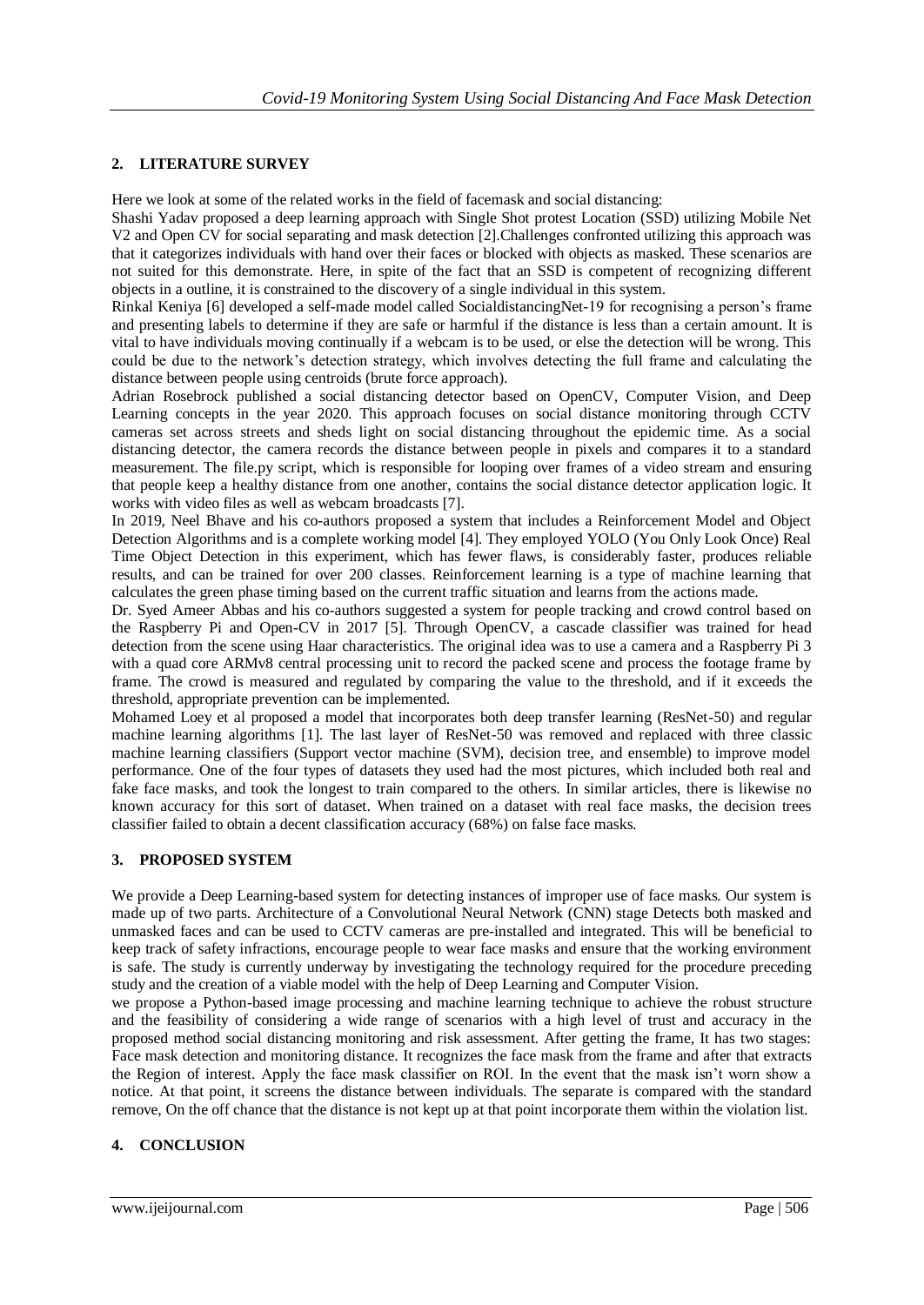### **2. LITERATURE SURVEY**

Here we look at some of the related works in the field of facemask and social distancing:

Shashi Yadav proposed a deep learning approach with Single Shot protest Location (SSD) utilizing Mobile Net V2 and Open CV for social separating and mask detection [2].Challenges confronted utilizing this approach was that it categorizes individuals with hand over their faces or blocked with objects as masked. These scenarios are not suited for this demonstrate. Here, in spite of the fact that an SSD is competent of recognizing different objects in a outline, it is constrained to the discovery of a single individual in this system.

Rinkal Keniya [6] developed a self-made model called SocialdistancingNet-19 for recognising a person's frame and presenting labels to determine if they are safe or harmful if the distance is less than a certain amount. It is vital to have individuals moving continually if a webcam is to be used, or else the detection will be wrong. This could be due to the network's detection strategy, which involves detecting the full frame and calculating the distance between people using centroids (brute force approach).

Adrian Rosebrock published a social distancing detector based on OpenCV, Computer Vision, and Deep Learning concepts in the year 2020. This approach focuses on social distance monitoring through CCTV cameras set across streets and sheds light on social distancing throughout the epidemic time. As a social distancing detector, the camera records the distance between people in pixels and compares it to a standard measurement. The file.py script, which is responsible for looping over frames of a video stream and ensuring that people keep a healthy distance from one another, contains the social distance detector application logic. It works with video files as well as webcam broadcasts [7].

In 2019, Neel Bhave and his co-authors proposed a system that includes a Reinforcement Model and Object Detection Algorithms and is a complete working model [4]. They employed YOLO (You Only Look Once) Real Time Object Detection in this experiment, which has fewer flaws, is considerably faster, produces reliable results, and can be trained for over 200 classes. Reinforcement learning is a type of machine learning that calculates the green phase timing based on the current traffic situation and learns from the actions made.

Dr. Syed Ameer Abbas and his co-authors suggested a system for people tracking and crowd control based on the Raspberry Pi and Open-CV in 2017 [5]. Through OpenCV, a cascade classifier was trained for head detection from the scene using Haar characteristics. The original idea was to use a camera and a Raspberry Pi 3 with a quad core ARMv8 central processing unit to record the packed scene and process the footage frame by frame. The crowd is measured and regulated by comparing the value to the threshold, and if it exceeds the threshold, appropriate prevention can be implemented.

Mohamed Loey et al proposed a model that incorporates both deep transfer learning (ResNet-50) and regular machine learning algorithms [1]. The last layer of ResNet-50 was removed and replaced with three classic machine learning classifiers (Support vector machine (SVM), decision tree, and ensemble) to improve model performance. One of the four types of datasets they used had the most pictures, which included both real and fake face masks, and took the longest to train compared to the others. In similar articles, there is likewise no known accuracy for this sort of dataset. When trained on a dataset with real face masks, the decision trees classifier failed to obtain a decent classification accuracy (68%) on false face masks.

#### **3. PROPOSED SYSTEM**

We provide a Deep Learning-based system for detecting instances of improper use of face masks. Our system is made up of two parts. Architecture of a Convolutional Neural Network (CNN) stage Detects both masked and unmasked faces and can be used to CCTV cameras are pre-installed and integrated. This will be beneficial to keep track of safety infractions, encourage people to wear face masks and ensure that the working environment is safe. The study is currently underway by investigating the technology required for the procedure preceding study and the creation of a viable model with the help of Deep Learning and Computer Vision.

we propose a Python-based image processing and machine learning technique to achieve the robust structure and the feasibility of considering a wide range of scenarios with a high level of trust and accuracy in the proposed method social distancing monitoring and risk assessment. After getting the frame, It has two stages: Face mask detection and monitoring distance. It recognizes the face mask from the frame and after that extracts the Region of interest. Apply the face mask classifier on ROI. In the event that the mask isn't worn show a notice. At that point, it screens the distance between individuals. The separate is compared with the standard remove, On the off chance that the distance is not kept up at that point incorporate them within the violation list.

### **4. CONCLUSION**